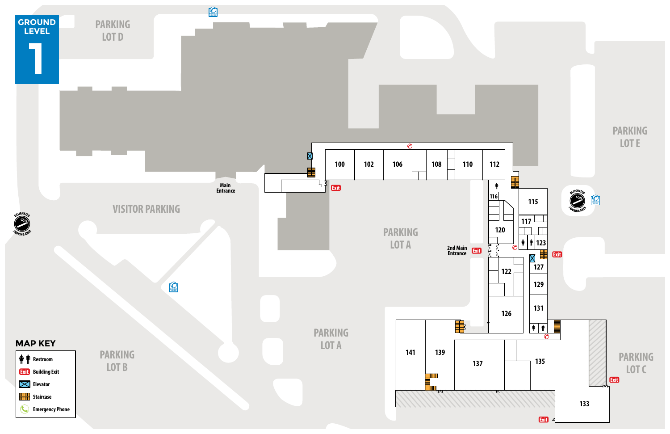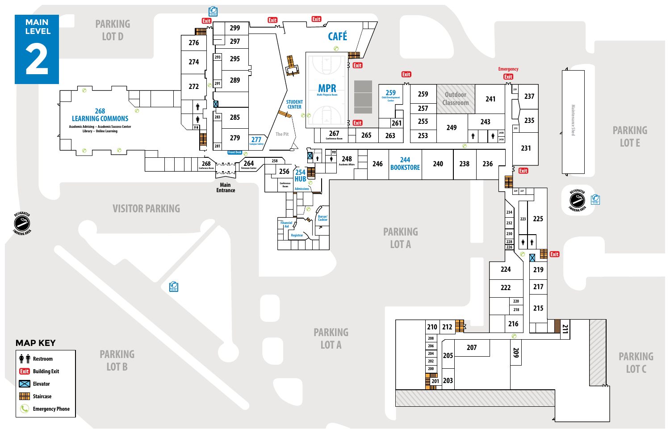